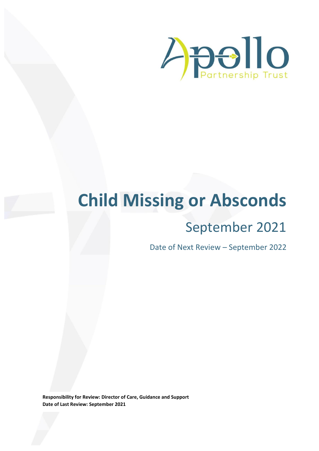

# **Child Missing or Absconds**

# September 2021

Date of Next Review – September 2022

**Responsibility for Review: Director of Care, Guidance and Support Date of Last Review: September 2021**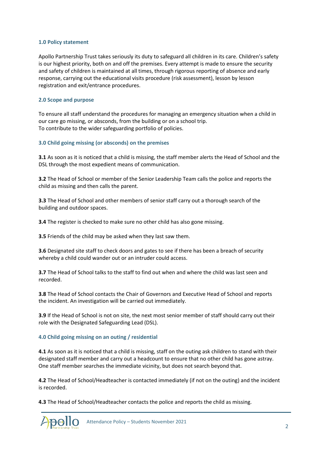#### **1.0 Policy statement**

Apollo Partnership Trust takes seriously its duty to safeguard all children in its care. Children's safety is our highest priority, both on and off the premises. Every attempt is made to ensure the security and safety of children is maintained at all times, through rigorous reporting of absence and early response, carrying out the educational visits procedure (risk assessment), lesson by lesson registration and exit/entrance procedures.

## **2.0 Scope and purpose**

To ensure all staff understand the procedures for managing an emergency situation when a child in our care go missing, or absconds, from the building or on a school trip. To contribute to the wider safeguarding portfolio of policies.

### **3.0 Child going missing (or absconds) on the premises**

**3.1** As soon as it is noticed that a child is missing, the staff member alerts the Head of School and the DSL through the most expedient means of communication.

**3.2** The Head of School or member of the Senior Leadership Team calls the police and reports the child as missing and then calls the parent.

**3.3** The Head of School and other members of senior staff carry out a thorough search of the building and outdoor spaces.

**3.4** The register is checked to make sure no other child has also gone missing.

**3.5** Friends of the child may be asked when they last saw them.

**3.6** Designated site staff to check doors and gates to see if there has been a breach of security whereby a child could wander out or an intruder could access.

**3.7** The Head of School talks to the staff to find out when and where the child was last seen and recorded.

**3.8** The Head of School contacts the Chair of Governors and Executive Head of School and reports the incident. An investigation will be carried out immediately.

**3.9** If the Head of School is not on site, the next most senior member of staff should carry out their role with the Designated Safeguarding Lead (DSL).

#### **4.0 Child going missing on an outing / residential**

**4.1** As soon as it is noticed that a child is missing, staff on the outing ask children to stand with their designated staff member and carry out a headcount to ensure that no other child has gone astray. One staff member searches the immediate vicinity, but does not search beyond that.

**4.2** The Head of School/Headteacher is contacted immediately (if not on the outing) and the incident is recorded.

**4.3** The Head of School/Headteacher contacts the police and reports the child as missing.

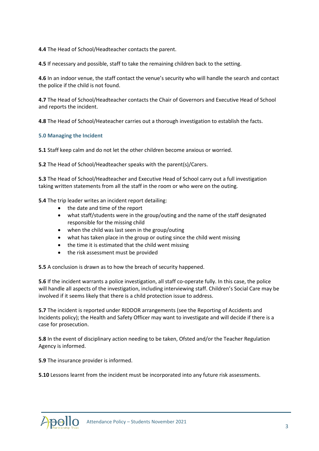**4.4** The Head of School/Headteacher contacts the parent.

**4.5** If necessary and possible, staff to take the remaining children back to the setting.

**4.6** In an indoor venue, the staff contact the venue's security who will handle the search and contact the police if the child is not found.

**4.7** The Head of School/Headteacher contacts the Chair of Governors and Executive Head of School and reports the incident.

**4.8** The Head of School/Heateacher carries out a thorough investigation to establish the facts.

#### **5.0 Managing the Incident**

**5.1** Staff keep calm and do not let the other children become anxious or worried.

**5.2** The Head of School/Headteacher speaks with the parent(s)/Carers.

**5.3** The Head of School/Headteacher and Executive Head of School carry out a full investigation taking written statements from all the staff in the room or who were on the outing.

**5.4** The trip leader writes an incident report detailing:

- the date and time of the report
- what staff/students were in the group/outing and the name of the staff designated responsible for the missing child
- when the child was last seen in the group/outing
- what has taken place in the group or outing since the child went missing
- the time it is estimated that the child went missing
- the risk assessment must be provided

**5.5** A conclusion is drawn as to how the breach of security happened.

**5.6** If the incident warrants a police investigation, all staff co-operate fully. In this case, the police will handle all aspects of the investigation, including interviewing staff. Children's Social Care may be involved if it seems likely that there is a child protection issue to address.

**5.7** The incident is reported under RIDDOR arrangements (see the Reporting of Accidents and Incidents policy); the Health and Safety Officer may want to investigate and will decide if there is a case for prosecution.

**5.8** In the event of disciplinary action needing to be taken, Ofsted and/or the Teacher Regulation Agency is informed.

**5.9** The insurance provider is informed.

**5.10** Lessons learnt from the incident must be incorporated into any future risk assessments.